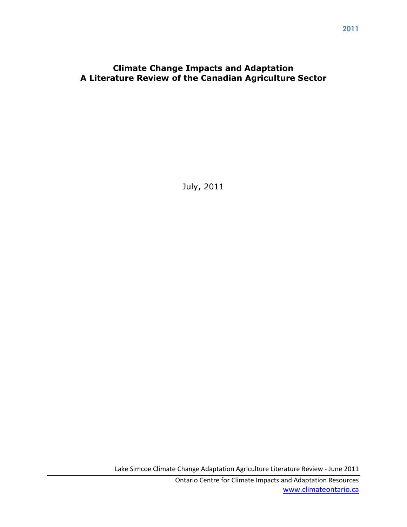**Climate Change Impacts and Adaptation A Literature Review of the Canadian Agriculture Sector**

July, 2011

Lake Simcoe Climate Change Adaptation Agriculture Literature Review - June 2011

Ontario Centre for Climate Impacts and Adaptation Resources www.climateontario.ca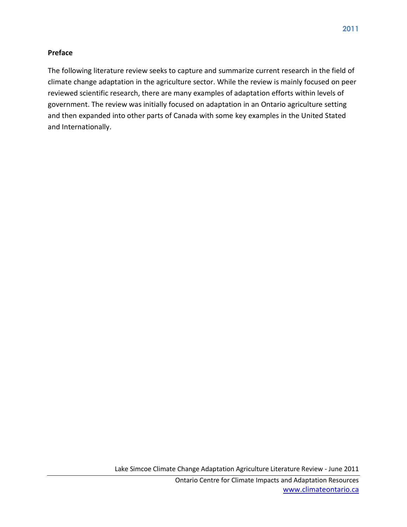#### **Preface**

The following literature review seeks to capture and summarize current research in the field of climate change adaptation in the agriculture sector. While the review is mainly focused on peer reviewed scientific research, there are many examples of adaptation efforts within levels of government. The review was initially focused on adaptation in an Ontario agriculture setting and then expanded into other parts of Canada with some key examples in the United Stated and Internationally.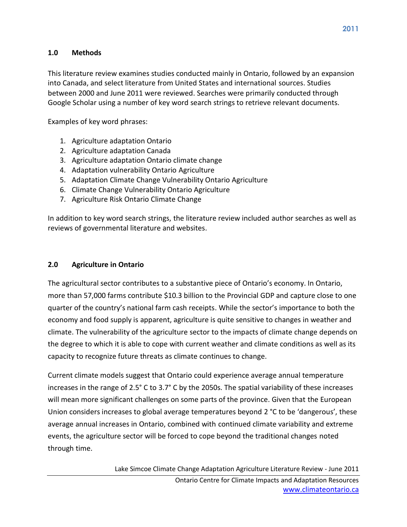## **1.0 Methods**

This literature review examines studies conducted mainly in Ontario, followed by an expansion into Canada, and select literature from United States and international sources. Studies between 2000 and June 2011 were reviewed. Searches were primarily conducted through Google Scholar using a number of key word search strings to retrieve relevant documents.

Examples of key word phrases:

- 1. Agriculture adaptation Ontario
- 2. Agriculture adaptation Canada
- 3. Agriculture adaptation Ontario climate change
- 4. Adaptation vulnerability Ontario Agriculture
- 5. Adaptation Climate Change Vulnerability Ontario Agriculture
- 6. Climate Change Vulnerability Ontario Agriculture
- 7. Agriculture Risk Ontario Climate Change

In addition to key word search strings, the literature review included author searches as well as reviews of governmental literature and websites.

## **2.0 Agriculture in Ontario**

The agricultural sector contributes to a substantive piece of Ontario's economy. In Ontario, more than 57,000 farms contribute \$10.3 billion to the Provincial GDP and capture close to one quarter of the country's national farm cash receipts. While the sector's importance to both the economy and food supply is apparent, agriculture is quite sensitive to changes in weather and climate. The vulnerability of the agriculture sector to the impacts of climate change depends on the degree to which it is able to cope with current weather and climate conditions as well as its capacity to recognize future threats as climate continues to change.

Current climate models suggest that Ontario could experience average annual temperature increases in the range of 2.5° C to 3.7° C by the 2050s. The spatial variability of these increases will mean more significant challenges on some parts of the province. Given that the European Union considers increases to global average temperatures beyond 2 °C to be 'dangerous', these average annual increases in Ontario, combined with continued climate variability and extreme events, the agriculture sector will be forced to cope beyond the traditional changes noted through time.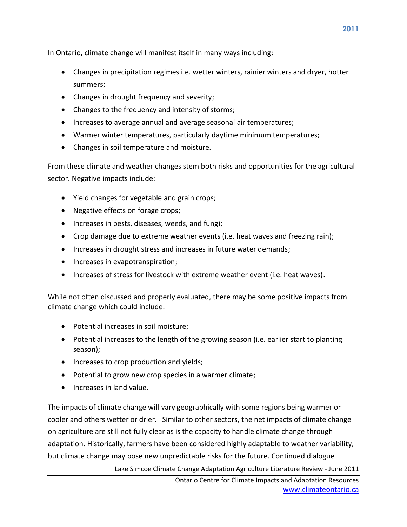- Changes in precipitation regimes i.e. wetter winters, rainier winters and dryer, hotter summers;
- Changes in drought frequency and severity;
- Changes to the frequency and intensity of storms;
- Increases to average annual and average seasonal air temperatures;
- Warmer winter temperatures, particularly daytime minimum temperatures;
- Changes in soil temperature and moisture.

From these climate and weather changes stem both risks and opportunities for the agricultural sector. Negative impacts include:

- Yield changes for vegetable and grain crops;
- Negative effects on forage crops;
- Increases in pests, diseases, weeds, and fungi;
- Crop damage due to extreme weather events (i.e. heat waves and freezing rain);
- Increases in drought stress and increases in future water demands;
- Increases in evapotranspiration;
- Increases of stress for livestock with extreme weather event (i.e. heat waves).

While not often discussed and properly evaluated, there may be some positive impacts from climate change which could include:

- Potential increases in soil moisture;
- Potential increases to the length of the growing season (i.e. earlier start to planting season);
- Increases to crop production and yields;
- Potential to grow new crop species in a warmer climate;
- Increases in land value.

The impacts of climate change will vary geographically with some regions being warmer or cooler and others wetter or drier. Similar to other sectors, the net impacts of climate change on agriculture are still not fully clear as is the capacity to handle climate change through adaptation. Historically, farmers have been considered highly adaptable to weather variability, but climate change may pose new unpredictable risks for the future. Continued dialogue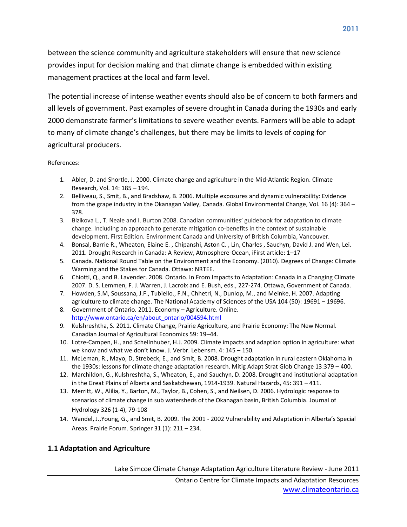between the science community and agriculture stakeholders will ensure that new science provides input for decision making and that climate change is embedded within existing management practices at the local and farm level.

The potential increase of intense weather events should also be of concern to both farmers and all levels of government. Past examples of severe drought in Canada during the 1930s and early 2000 demonstrate farmer's limitations to severe weather events. Farmers will be able to adapt to many of climate change's challenges, but there may be limits to levels of coping for agricultural producers.

References:

- 1. Abler, D. and Shortle, J. 2000. Climate change and agriculture in the Mid-Atlantic Region. Climate Research, Vol. 14: 185 – 194.
- 2. Belliveau, S., Smit, B., and Bradshaw, B. 2006. Multiple exposures and dynamic vulnerability: Evidence from the grape industry in the Okanagan Valley, Canada. Global Environmental Change, Vol. 16 (4): 364 – 378.
- 3. Bizikova L., T. Neale and I. Burton 2008. Canadian communities' guidebook for adaptation to climate change. Including an approach to generate mitigation co-benefits in the context of sustainable development. First Edition. Environment Canada and University of British Columbia, Vancouver.
- 4. Bonsal, Barrie R., Wheaton, Elaine E. , Chipanshi, Aston C. , Lin, Charles , Sauchyn, David J. and Wen, Lei. 2011. Drought Research in Canada: A Review, Atmosphere-Ocean, iFirst article: 1–17
- 5. Canada. National Round Table on the Environment and the Economy. (2010). Degrees of Change: Climate Warming and the Stakes for Canada. Ottawa: NRTEE.
- 6. Chiotti, Q., and B. Lavender. 2008. Ontario. In From Impacts to Adaptation: Canada in a Changing Climate 2007. D. S. Lemmen, F. J. Warren, J. Lacroix and E. Bush, eds., 227-274. Ottawa, Government of Canada.
- 7. Howden, S.M, Soussana, J.F., Tubiello., F.N., Chhetri, N., Dunlop, M., and Meinke, H. 2007. Adapting agriculture to climate change. The National Academy of Sciences of the USA 104 (50): 19691 – 19696.
- 8. Government of Ontario. 2011. Economy Agriculture. Online. [http://www.ontario.ca/en/about\\_ontario/004594.html](http://www.ontario.ca/en/about_ontario/004594.html)
- 9. Kulshreshtha, S. 2011. Climate Change, Prairie Agriculture, and Prairie Economy: The New Normal. Canadian Journal of Agricultural Economics 59: 19–44.
- 10. Lotze-Campen, H., and Schellnhuber, H.J. 2009. Climate impacts and adaption option in agriculture: what we know and what we don't know. J. Verbr. Lebensm. 4: 145 – 150.
- 11. McLeman, R., Mayo, D, Strebeck, E., and Smit, B. 2008. Drought adaptation in rural eastern Oklahoma in the 1930s: lessons for climate change adaptation research. Mitig Adapt Strat Glob Change 13:379 – 400.
- 12. Marchildon, G., Kulshreshtha, S., Wheaton, E., and Sauchyn, D. 2008. Drought and institutional adaptation in the Great Plains of Alberta and Saskatchewan, 1914-1939. Natural Hazards, 45: 391 – 411.
- 13. Merritt, W., Alilia, Y., Barton, M., Taylor, B., Cohen, S., and Neilsen, D. 2006. Hydrologic response to scenarios of climate change in sub watersheds of the Okanagan basin, British Columbia. Journal of Hydrology 326 (1-4), 79-108
- 14. Wandel, J.,Young, G., and Smit, B. 2009. The 2001 2002 Vulnerability and Adaptation in Alberta's Special Areas. Prairie Forum. Springer 31 (1): 211 – 234.

#### **1.1 Adaptation and Agriculture**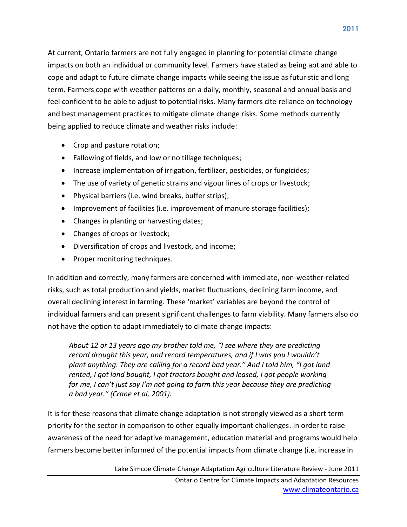At current, Ontario farmers are not fully engaged in planning for potential climate change impacts on both an individual or community level. Farmers have stated as being apt and able to cope and adapt to future climate change impacts while seeing the issue as futuristic and long term. Farmers cope with weather patterns on a daily, monthly, seasonal and annual basis and feel confident to be able to adjust to potential risks. Many farmers cite reliance on technology and best management practices to mitigate climate change risks. Some methods currently being applied to reduce climate and weather risks include:

- Crop and pasture rotation;
- Fallowing of fields, and low or no tillage techniques;
- Increase implementation of irrigation, fertilizer, pesticides, or fungicides;
- The use of variety of genetic strains and vigour lines of crops or livestock;
- Physical barriers (i.e. wind breaks, buffer strips);
- Improvement of facilities (i.e. improvement of manure storage facilities);
- Changes in planting or harvesting dates;
- Changes of crops or livestock;
- Diversification of crops and livestock, and income;
- Proper monitoring techniques.

In addition and correctly, many farmers are concerned with immediate, non-weather-related risks, such as total production and yields, market fluctuations, declining farm income, and overall declining interest in farming. These 'market' variables are beyond the control of individual farmers and can present significant challenges to farm viability. Many farmers also do not have the option to adapt immediately to climate change impacts:

*About 12 or 13 years ago my brother told me, "I see where they are predicting record drought this year, and record temperatures, and if I was you I wouldn't plant anything. They are calling for a record bad year." And I told him, "I got land rented, I got land bought, I got tractors bought and leased, I got people working for me, I can't just say I'm not going to farm this year because they are predicting a bad year." (Crane et al, 2001).*

It is for these reasons that climate change adaptation is not strongly viewed as a short term priority for the sector in comparison to other equally important challenges. In order to raise awareness of the need for adaptive management, education material and programs would help farmers become better informed of the potential impacts from climate change (i.e. increase in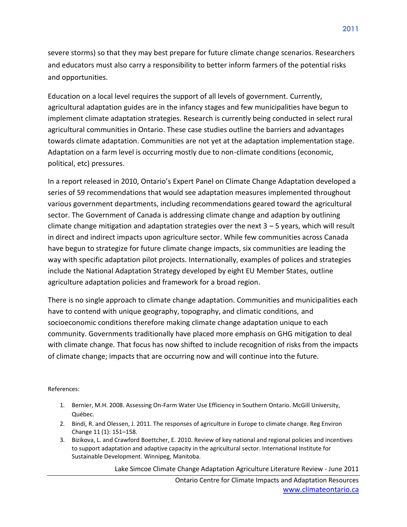severe storms) so that they may best prepare for future climate change scenarios. Researchers and educators must also carry a responsibility to better inform farmers of the potential risks and opportunities.

Education on a local level requires the support of all levels of government. Currently, agricultural adaptation guides are in the infancy stages and few municipalities have begun to implement climate adaptation strategies. Research is currently being conducted in select rural agricultural communities in Ontario. These case studies outline the barriers and advantages towards climate adaptation. Communities are not yet at the adaptation implementation stage. Adaptation on a farm level is occurring mostly due to non-climate conditions (economic, political, etc) pressures.

In a report released in 2010, Ontario's Expert Panel on Climate Change Adaptation developed a series of 59 recommendations that would see adaptation measures implemented throughout various government departments, including recommendations geared toward the agricultural sector. The Government of Canada is addressing climate change and adaption by outlining climate change mitigation and adaptation strategies over the next  $3 - 5$  years, which will result in direct and indirect impacts upon agriculture sector. While few communities across Canada have begun to strategize for future climate change impacts, six communities are leading the way with specific adaptation pilot projects. Internationally, examples of polices and strategies include the National Adaptation Strategy developed by eight EU Member States, outline agriculture adaptation policies and framework for a broad region.

There is no single approach to climate change adaptation. Communities and municipalities each have to contend with unique geography, topography, and climatic conditions, and socioeconomic conditions therefore making climate change adaptation unique to each community. Governments traditionally have placed more emphasis on GHG mitigation to deal with climate change. That focus has now shifted to include recognition of risks from the impacts of climate change; impacts that are occurring now and will continue into the future.

#### References:

- 1. Bernier, M.H. 2008. Assessing On-Farm Water Use Efficiency in Southern Ontario. McGill University, Québec.
- 2. Bindi, R. and Olessen, J. 2011. The responses of agriculture in Europe to climate change. Reg Environ Change 11 (1): 151–158.
- 3. Bizikova, L. and Crawford Boettcher, E. 2010. Review of key national and regional policies and incentives to support adaptation and adaptive capacity in the agricultural sector. International Institute for Sustainable Development. Winnipeg, Manitoba.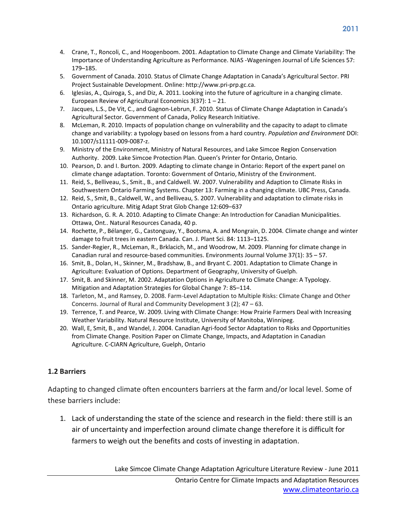- 4. Crane, T., Roncoli, C., and Hoogenboom. 2001. Adaptation to Climate Change and Climate Variability: The Importance of Understanding Agriculture as Performance. NJAS -Wageningen Journal of Life Sciences 57: 179–185.
- 5. Government of Canada. 2010. Status of Climate Change Adaptation in Canada's Agricultural Sector. PRI Project Sustainable Development. Online: http://www.pri-prp.gc.ca.
- 6. Iglesias, A., Quiroga, S., and Diz, A. 2011. Looking into the future of agriculture in a changing climate. European Review of Agricultural Economics 3(37): 1 – 21.
- 7. Jacques, L.S., De Vit, C., and Gagnon-Lebrun, F. 2010. Status of Climate Change Adaptation in Canada's Agricultural Sector. Government of Canada, Policy Research Initiative.
- 8. McLeman, R. 2010. Impacts of population change on vulnerability and the capacity to adapt to climate change and variability: a typology based on lessons from a hard country. *Population and Environment* DOI: 10.1007/s11111-009-0087-z.
- 9. Ministry of the Environment, Ministry of Natural Resources, and Lake Simcoe Region Conservation Authority. 2009. Lake Simcoe Protection Plan. Queen's Printer for Ontario, Ontario.
- 10. Pearson, D. and I. Burton. 2009. Adapting to climate change in Ontario: Report of the expert panel on climate change adaptation. Toronto: Government of Ontario, Ministry of the Environment.
- 11. Reid, S., Belliveau, S., Smit., B., and Caldwell. W. 2007. Vulnerability and Adaption to Climate Risks in Southwestern Ontario Farming Systems. Chapter 13: Farming in a changing climate. UBC Press, Canada.
- 12. Reid, S., Smit, B., Caldwell, W., and Belliveau, S. 2007. Vulnerability and adaptation to climate risks in Ontario agriculture. Mitig Adapt Strat Glob Change 12:609–637
- 13. Richardson, G. R. A. 2010. Adapting to Climate Change: An Introduction for Canadian Municipalities. Ottawa, Ont.. Natural Resources Canada, 40 p.
- 14. Rochette, P., Bélanger, G., Castonguay, Y., Bootsma, A. and Mongrain, D. 2004. Climate change and winter damage to fruit trees in eastern Canada. Can. J. Plant Sci. 84: 1113–1125.
- 15. Sander-Regier, R., McLeman, R., Brklacich, M., and Woodrow, M. 2009. Planning for climate change in Canadian rural and resource-based communities. Environments Journal Volume 37(1): 35 – 57.
- 16. Smit, B., Dolan, H., Skinner, M., Bradshaw, B., and Bryant C. 2001. Adaptation to Climate Change in Agriculture: Evaluation of Options. Department of Geography, University of Guelph.
- 17. Smit, B. and Skinner, M. 2002. Adaptation Options in Agriculture to Climate Change: A Typology. Mitigation and Adaptation Strategies for Global Change 7: 85–114.
- 18. Tarleton, M., and Ramsey, D. 2008. Farm-Level Adaptation to Multiple Risks: Climate Change and Other Concerns. Journal of Rural and Community Development 3 (2); 47 – 63.
- 19. Terrence, T. and Pearce, W. 2009. Living with Climate Change: How Prairie Farmers Deal with Increasing Weather Variability. Natural Resource Institute, University of Manitoba, Winnipeg.
- 20. Wall, E, Smit, B., and Wandel, J. 2004. Canadian Agri-food Sector Adaptation to Risks and Opportunities from Climate Change. Position Paper on Climate Change, Impacts, and Adaptation in Canadian Agriculture. C-CIARN Agriculture, Guelph, Ontario

#### **1.2 Barriers**

Adapting to changed climate often encounters barriers at the farm and/or local level. Some of these barriers include:

1. Lack of understanding the state of the science and research in the field: there still is an air of uncertainty and imperfection around climate change therefore it is difficult for farmers to weigh out the benefits and costs of investing in adaptation.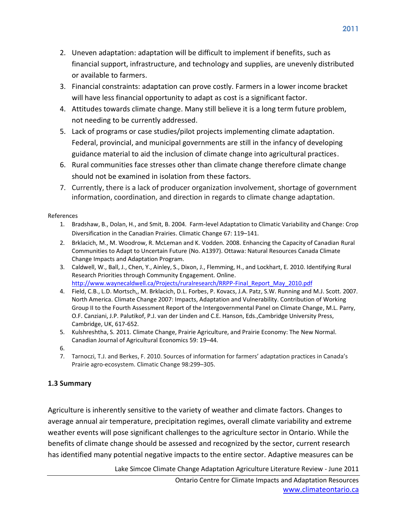- 2. Uneven adaptation: adaptation will be difficult to implement if benefits, such as financial support, infrastructure, and technology and supplies, are unevenly distributed or available to farmers.
- 3. Financial constraints: adaptation can prove costly. Farmers in a lower income bracket will have less financial opportunity to adapt as cost is a significant factor.
- 4. Attitudes towards climate change. Many still believe it is a long term future problem, not needing to be currently addressed.
- 5. Lack of programs or case studies/pilot projects implementing climate adaptation. Federal, provincial, and municipal governments are still in the infancy of developing guidance material to aid the inclusion of climate change into agricultural practices.
- 6. Rural communities face stresses other than climate change therefore climate change should not be examined in isolation from these factors.
- 7. Currently, there is a lack of producer organization involvement, shortage of government information, coordination, and direction in regards to climate change adaptation.

#### References

- 1. Bradshaw, B., Dolan, H., and Smit, B. 2004. Farm-level Adaptation to Climatic Variability and Change: Crop Diversification in the Canadian Prairies. Climatic Change 67: 119–141.
- 2. Brklacich, M., M. Woodrow, R. McLeman and K. Vodden. 2008. Enhancing the Capacity of Canadian Rural Communities to Adapt to Uncertain Future (No. A1397). Ottawa: Natural Resources Canada Climate Change Impacts and Adaptation Program.
- 3. Caldwell, W., Ball, J., Chen, Y., Ainley, S., Dixon, J., Flemming, H., and Lockhart, E. 2010. Identifying Rural Research Priorities through Community Engagement. Online. [http://www.waynecaldwell.ca/Projects/ruralresearch/RRPP-Final\\_Report\\_May\\_2010.pdf](http://www.waynecaldwell.ca/Projects/ruralresearch/RRPP-Final_Report_May_2010.pdf)
- 4. Field, C.B., L.D. Mortsch,, M. Brklacich, D.L. Forbes, P. Kovacs, J.A. Patz, S.W. Running and M.J. Scott. 2007. North America. Climate Change 2007: Impacts, Adaptation and Vulnerability. Contribution of Working Group II to the Fourth Assessment Report of the Intergovernmental Panel on Climate Change, M.L. Parry, O.F. Canziani, J.P. Palutikof, P.J. van der Linden and C.E. Hanson, Eds.,Cambridge University Press, Cambridge, UK, 617-652.
- 5. Kulshreshtha, S. 2011. Climate Change, Prairie Agriculture, and Prairie Economy: The New Normal. Canadian Journal of Agricultural Economics 59: 19–44.
- 6.
- 7. Tarnoczi, T.J. and Berkes, F. 2010. Sources of information for farmers' adaptation practices in Canada's Prairie agro-ecosystem. Climatic Change 98:299–305.

#### **1.3 Summary**

Agriculture is inherently sensitive to the variety of weather and climate factors. Changes to average annual air temperature, precipitation regimes, overall climate variability and extreme weather events will pose significant challenges to the agriculture sector in Ontario. While the benefits of climate change should be assessed and recognized by the sector, current research has identified many potential negative impacts to the entire sector. Adaptive measures can be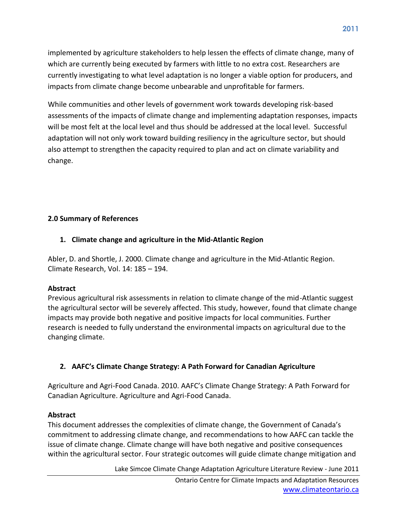implemented by agriculture stakeholders to help lessen the effects of climate change, many of which are currently being executed by farmers with little to no extra cost. Researchers are currently investigating to what level adaptation is no longer a viable option for producers, and impacts from climate change become unbearable and unprofitable for farmers.

While communities and other levels of government work towards developing risk-based assessments of the impacts of climate change and implementing adaptation responses, impacts will be most felt at the local level and thus should be addressed at the local level. Successful adaptation will not only work toward building resiliency in the agriculture sector, but should also attempt to strengthen the capacity required to plan and act on climate variability and change.

## **2.0 Summary of References**

## **1. Climate change and agriculture in the Mid-Atlantic Region**

Abler, D. and Shortle, J. 2000. Climate change and agriculture in the Mid-Atlantic Region. Climate Research, Vol. 14: 185 – 194.

## **Abstract**

Previous agricultural risk assessments in relation to climate change of the mid-Atlantic suggest the agricultural sector will be severely affected. This study, however, found that climate change impacts may provide both negative and positive impacts for local communities. Further research is needed to fully understand the environmental impacts on agricultural due to the changing climate.

# **2. AAFC's Climate Change Strategy: A Path Forward for Canadian Agriculture**

Agriculture and Agri-Food Canada. 2010. AAFC's Climate Change Strategy: A Path Forward for Canadian Agriculture. Agriculture and Agri-Food Canada.

# **Abstract**

This document addresses the complexities of climate change, the Government of Canada's commitment to addressing climate change, and recommendations to how AAFC can tackle the issue of climate change. Climate change will have both negative and positive consequences within the agricultural sector. Four strategic outcomes will guide climate change mitigation and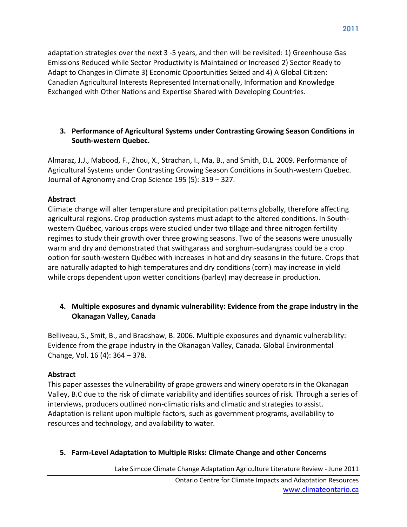adaptation strategies over the next 3 -5 years, and then will be revisited: 1) Greenhouse Gas Emissions Reduced while Sector Productivity is Maintained or Increased 2) Sector Ready to Adapt to Changes in Climate 3) Economic Opportunities Seized and 4) A Global Citizen: Canadian Agricultural Interests Represented Internationally, Information and Knowledge Exchanged with Other Nations and Expertise Shared with Developing Countries.

### **3. Performance of Agricultural Systems under Contrasting Growing Season Conditions in South-western Quebec.**

Almaraz, J.J., Mabood, F., Zhou, X., Strachan, I., Ma, B., and Smith, D.L. 2009. Performance of Agricultural Systems under Contrasting Growing Season Conditions in South-western Quebec. Journal of Agronomy and Crop Science 195 (5): 319 – 327.

## **Abstract**

Climate change will alter temperature and precipitation patterns globally, therefore affecting agricultural regions. Crop production systems must adapt to the altered conditions. In Southwestern Québec, various crops were studied under two tillage and three nitrogen fertility regimes to study their growth over three growing seasons. Two of the seasons were unusually warm and dry and demonstrated that swithgarass and sorghum-sudangrass could be a crop option for south-western Québec with increases in hot and dry seasons in the future. Crops that are naturally adapted to high temperatures and dry conditions (corn) may increase in yield while crops dependent upon wetter conditions (barley) may decrease in production.

## **4. Multiple exposures and dynamic vulnerability: Evidence from the grape industry in the Okanagan Valley, Canada**

Belliveau, S., Smit, B., and Bradshaw, B. 2006. Multiple exposures and dynamic vulnerability: Evidence from the grape industry in the Okanagan Valley, Canada. Global Environmental Change, Vol. 16 (4): 364 – 378.

#### **Abstract**

This paper assesses the vulnerability of grape growers and winery operators in the Okanagan Valley, B.C due to the risk of climate variability and identifies sources of risk. Through a series of interviews, producers outlined non-climatic risks and climatic and strategies to assist. Adaptation is reliant upon multiple factors, such as government programs, availability to resources and technology, and availability to water.

## **5. Farm-Level Adaptation to Multiple Risks: Climate Change and other Concerns**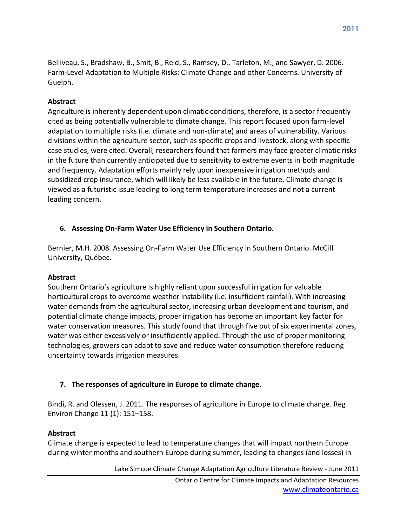Belliveau, S., Bradshaw, B., Smit, B., Reid, S., Ramsey, D., Tarleton, M., and Sawyer, D. 2006. Farm-Level Adaptation to Multiple Risks: Climate Change and other Concerns. University of Guelph.

#### **Abstract**

Agriculture is inherently dependent upon climatic conditions, therefore, is a sector frequently cited as being potentially vulnerable to climate change. This report focused upon farm-level adaptation to multiple risks (i.e. climate and non-climate) and areas of vulnerability. Various divisions within the agriculture sector, such as specific crops and livestock, along with specific case studies, were cited. Overall, researchers found that farmers may face greater climatic risks in the future than currently anticipated due to sensitivity to extreme events in both magnitude and frequency. Adaptation efforts mainly rely upon inexpensive irrigation methods and subsidized crop insurance, which will likely be less available in the future. Climate change is viewed as a futuristic issue leading to long term temperature increases and not a current leading concern.

#### **6. Assessing On-Farm Water Use Efficiency in Southern Ontario.**

Bernier, M.H. 2008. Assessing On-Farm Water Use Efficiency in Southern Ontario. McGill University, Québec.

#### **Abstract**

Southern Ontario's agriculture is highly reliant upon successful irrigation for valuable horticultural crops to overcome weather instability (i.e. insufficient rainfall). With increasing water demands from the agricultural sector, increasing urban development and tourism, and potential climate change impacts, proper irrigation has become an important key factor for water conservation measures. This study found that through five out of six experimental zones, water was either excessively or insufficiently applied. Through the use of proper monitoring technologies, growers can adapt to save and reduce water consumption therefore reducing uncertainty towards irrigation measures.

#### **7. The responses of agriculture in Europe to climate change.**

Bindi, R. and Olessen, J. 2011. The responses of agriculture in Europe to climate change. Reg Environ Change 11 (1): 151–158.

#### **Abstract**

Climate change is expected to lead to temperature changes that will impact northern Europe during winter months and southern Europe during summer, leading to changes (and losses) in

Lake Simcoe Climate Change Adaptation Agriculture Literature Review - June 2011

**2011**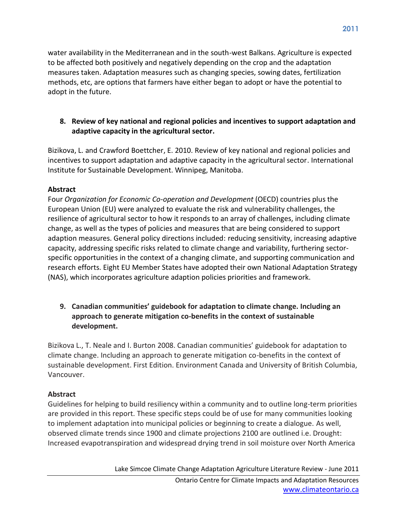water availability in the Mediterranean and in the south-west Balkans. Agriculture is expected to be affected both positively and negatively depending on the crop and the adaptation measures taken. Adaptation measures such as changing species, sowing dates, fertilization methods, etc, are options that farmers have either began to adopt or have the potential to adopt in the future.

## **8. Review of key national and regional policies and incentives to support adaptation and adaptive capacity in the agricultural sector.**

Bizikova, L. and Crawford Boettcher, E. 2010. Review of key national and regional policies and incentives to support adaptation and adaptive capacity in the agricultural sector. International Institute for Sustainable Development. Winnipeg, Manitoba.

## **Abstract**

Four *Organization for Economic Co-operation and Development* (OECD) countries plus the European Union (EU) were analyzed to evaluate the risk and vulnerability challenges, the resilience of agricultural sector to how it responds to an array of challenges, including climate change, as well as the types of policies and measures that are being considered to support adaption measures. General policy directions included: reducing sensitivity, increasing adaptive capacity, addressing specific risks related to climate change and variability, furthering sectorspecific opportunities in the context of a changing climate, and supporting communication and research efforts. Eight EU Member States have adopted their own National Adaptation Strategy (NAS), which incorporates agriculture adaption policies priorities and framework.

**9. Canadian communities' guidebook for adaptation to climate change. Including an approach to generate mitigation co-benefits in the context of sustainable development.**

Bizikova L., T. Neale and I. Burton 2008. Canadian communities' guidebook for adaptation to climate change. Including an approach to generate mitigation co-benefits in the context of sustainable development. First Edition. Environment Canada and University of British Columbia, Vancouver.

## **Abstract**

Guidelines for helping to build resiliency within a community and to outline long-term priorities are provided in this report. These specific steps could be of use for many communities looking to implement adaptation into municipal policies or beginning to create a dialogue. As well, observed climate trends since 1900 and climate projections 2100 are outlined i.e. Drought: Increased evapotranspiration and widespread drying trend in soil moisture over North America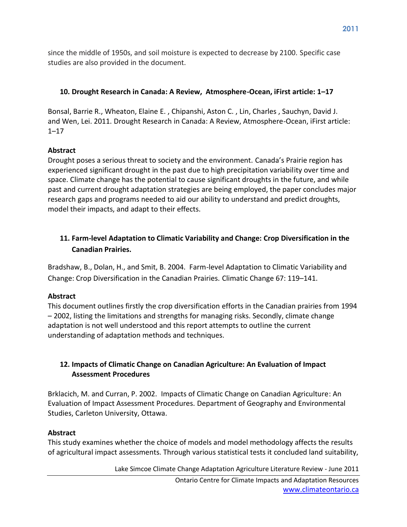since the middle of 1950s, and soil moisture is expected to decrease by 2100. Specific case studies are also provided in the document.

## **10. Drought Research in Canada: A Review, Atmosphere-Ocean, iFirst article: 1–17**

Bonsal, Barrie R., Wheaton, Elaine E. , Chipanshi, Aston C. , Lin, Charles , Sauchyn, David J. and Wen, Lei. 2011. Drought Research in Canada: A Review, Atmosphere-Ocean, iFirst article: 1–17

## **Abstract**

Drought poses a serious threat to society and the environment. Canada's Prairie region has experienced significant drought in the past due to high precipitation variability over time and space. Climate change has the potential to cause significant droughts in the future, and while past and current drought adaptation strategies are being employed, the paper concludes major research gaps and programs needed to aid our ability to understand and predict droughts, model their impacts, and adapt to their effects.

# **11. Farm-level Adaptation to Climatic Variability and Change: Crop Diversification in the Canadian Prairies.**

Bradshaw, B., Dolan, H., and Smit, B. 2004. Farm-level Adaptation to Climatic Variability and Change: Crop Diversification in the Canadian Prairies. Climatic Change 67: 119–141.

## **Abstract**

This document outlines firstly the crop diversification efforts in the Canadian prairies from 1994 – 2002, listing the limitations and strengths for managing risks. Secondly, climate change adaptation is not well understood and this report attempts to outline the current understanding of adaptation methods and techniques.

## **12. Impacts of Climatic Change on Canadian Agriculture: An Evaluation of Impact Assessment Procedures**

Brklacich, M. and Curran, P. 2002. Impacts of Climatic Change on Canadian Agriculture: An Evaluation of Impact Assessment Procedures. Department of Geography and Environmental Studies, Carleton University, Ottawa.

## **Abstract**

This study examines whether the choice of models and model methodology affects the results of agricultural impact assessments. Through various statistical tests it concluded land suitability,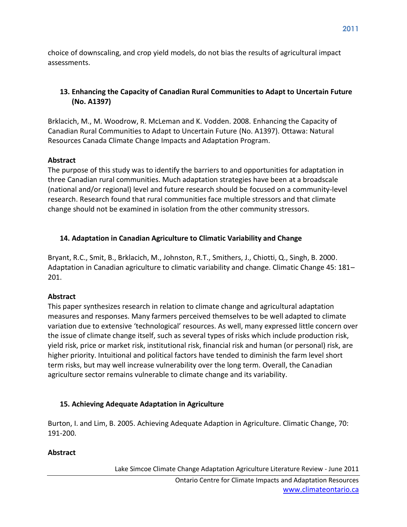choice of downscaling, and crop yield models, do not bias the results of agricultural impact assessments.

## **13. Enhancing the Capacity of Canadian Rural Communities to Adapt to Uncertain Future (No. A1397)**

Brklacich, M., M. Woodrow, R. McLeman and K. Vodden. 2008. Enhancing the Capacity of Canadian Rural Communities to Adapt to Uncertain Future (No. A1397). Ottawa: Natural Resources Canada Climate Change Impacts and Adaptation Program.

## **Abstract**

The purpose of this study was to identify the barriers to and opportunities for adaptation in three Canadian rural communities. Much adaptation strategies have been at a broadscale (national and/or regional) level and future research should be focused on a community-level research. Research found that rural communities face multiple stressors and that climate change should not be examined in isolation from the other community stressors.

## **14. Adaptation in Canadian Agriculture to Climatic Variability and Change**

Bryant, R.C., Smit, B., Brklacich, M., Johnston, R.T., Smithers, J., Chiotti, Q., Singh, B. 2000. Adaptation in Canadian agriculture to climatic variability and change. Climatic Change 45: 181– 201.

## **Abstract**

This paper synthesizes research in relation to climate change and agricultural adaptation measures and responses. Many farmers perceived themselves to be well adapted to climate variation due to extensive 'technological' resources. As well, many expressed little concern over the issue of climate change itself, such as several types of risks which include production risk, yield risk, price or market risk, institutional risk, financial risk and human (or personal) risk, are higher priority. Intuitional and political factors have tended to diminish the farm level short term risks, but may well increase vulnerability over the long term. Overall, the Canadian agriculture sector remains vulnerable to climate change and its variability.

# **15. Achieving Adequate Adaptation in Agriculture**

Burton, I. and Lim, B. 2005. Achieving Adequate Adaption in Agriculture. Climatic Change, 70: 191-200.

## **Abstract**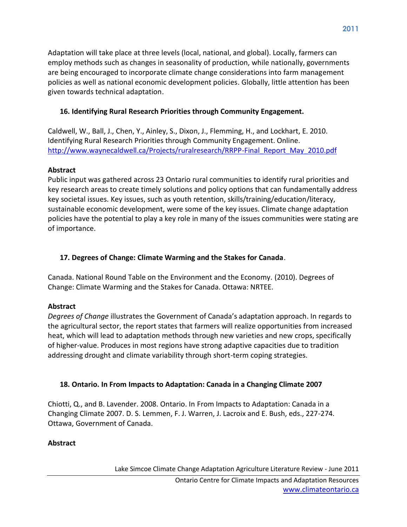Adaptation will take place at three levels (local, national, and global). Locally, farmers can employ methods such as changes in seasonality of production, while nationally, governments are being encouraged to incorporate climate change considerations into farm management policies as well as national economic development policies. Globally, little attention has been given towards technical adaptation.

## **16. Identifying Rural Research Priorities through Community Engagement.**

Caldwell, W., Ball, J., Chen, Y., Ainley, S., Dixon, J., Flemming, H., and Lockhart, E. 2010. Identifying Rural Research Priorities through Community Engagement. Online. [http://www.waynecaldwell.ca/Projects/ruralresearch/RRPP-Final\\_Report\\_May\\_2010.pdf](http://www.waynecaldwell.ca/Projects/ruralresearch/RRPP-Final_Report_May_2010.pdf)

## **Abstract**

Public input was gathered across 23 Ontario rural communities to identify rural priorities and key research areas to create timely solutions and policy options that can fundamentally address key societal issues. Key issues, such as youth retention, skills/training/education/literacy, sustainable economic development, were some of the key issues. Climate change adaptation policies have the potential to play a key role in many of the issues communities were stating are of importance.

## **17. Degrees of Change: Climate Warming and the Stakes for Canada**.

Canada. National Round Table on the Environment and the Economy. (2010). Degrees of Change: Climate Warming and the Stakes for Canada. Ottawa: NRTEE.

## **Abstract**

*Degrees of Change* illustrates the Government of Canada's adaptation approach. In regards to the agricultural sector, the report states that farmers will realize opportunities from increased heat, which will lead to adaptation methods through new varieties and new crops, specifically of higher-value. Produces in most regions have strong adaptive capacities due to tradition addressing drought and climate variability through short-term coping strategies.

# **18. Ontario. In From Impacts to Adaptation: Canada in a Changing Climate 2007**

Chiotti, Q., and B. Lavender. 2008. Ontario. In From Impacts to Adaptation: Canada in a Changing Climate 2007. D. S. Lemmen, F. J. Warren, J. Lacroix and E. Bush, eds., 227-274. Ottawa, Government of Canada.

# **Abstract**

Ontario Centre for Climate Impacts and Adaptation Resources www.climateontario.ca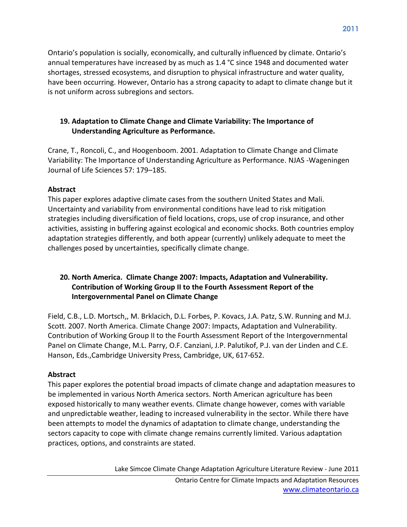Ontario's population is socially, economically, and culturally influenced by climate. Ontario's annual temperatures have increased by as much as 1.4 °C since 1948 and documented water shortages, stressed ecosystems, and disruption to physical infrastructure and water quality, have been occurring. However, Ontario has a strong capacity to adapt to climate change but it is not uniform across subregions and sectors.

## **19. Adaptation to Climate Change and Climate Variability: The Importance of Understanding Agriculture as Performance.**

Crane, T., Roncoli, C., and Hoogenboom. 2001. Adaptation to Climate Change and Climate Variability: The Importance of Understanding Agriculture as Performance. NJAS -Wageningen Journal of Life Sciences 57: 179–185.

## **Abstract**

This paper explores adaptive climate cases from the southern United States and Mali. Uncertainty and variability from environmental conditions have lead to risk mitigation strategies including diversification of field locations, crops, use of crop insurance, and other activities, assisting in buffering against ecological and economic shocks. Both countries employ adaptation strategies differently, and both appear (currently) unlikely adequate to meet the challenges posed by uncertainties, specifically climate change.

### **20. North America. Climate Change 2007: Impacts, Adaptation and Vulnerability. Contribution of Working Group II to the Fourth Assessment Report of the Intergovernmental Panel on Climate Change**

Field, C.B., L.D. Mortsch,, M. Brklacich, D.L. Forbes, P. Kovacs, J.A. Patz, S.W. Running and M.J. Scott. 2007. North America. Climate Change 2007: Impacts, Adaptation and Vulnerability. Contribution of Working Group II to the Fourth Assessment Report of the Intergovernmental Panel on Climate Change, M.L. Parry, O.F. Canziani, J.P. Palutikof, P.J. van der Linden and C.E. Hanson, Eds.,Cambridge University Press, Cambridge, UK, 617-652.

#### **Abstract**

This paper explores the potential broad impacts of climate change and adaptation measures to be implemented in various North America sectors. North American agriculture has been exposed historically to many weather events. Climate change however, comes with variable and unpredictable weather, leading to increased vulnerability in the sector. While there have been attempts to model the dynamics of adaptation to climate change, understanding the sectors capacity to cope with climate change remains currently limited. Various adaptation practices, options, and constraints are stated.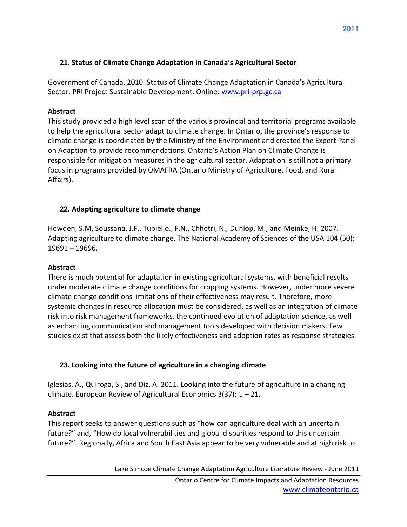# **21. Status of Climate Change Adaptation in Canada's Agricultural Sector**

Government of Canada. 2010. Status of Climate Change Adaptation in Canada's Agricultural Sector. PRI Project Sustainable Development. Online: [www.pri-prp.gc.ca](http://www.pri-prp.gc.ca/)

# **Abstract**

This study provided a high level scan of the various provincial and territorial programs available to help the agricultural sector adapt to climate change. In Ontario, the province's response to climate change is coordinated by the Ministry of the Environment and created the Expert Panel on Adaption to provide recommendations. Ontario's Action Plan on Climate Change is responsible for mitigation measures in the agricultural sector. Adaptation is still not a primary focus in programs provided by OMAFRA (Ontario Ministry of Agriculture, Food, and Rural Affairs).

# **22. Adapting agriculture to climate change**

Howden, S.M, Soussana, J.F., Tubiello., F.N., Chhetri, N., Dunlop, M., and Meinke, H. 2007. Adapting agriculture to climate change. The National Academy of Sciences of the USA 104 (50): 19691 – 19696.

# **Abstract**

There is much potential for adaptation in existing agricultural systems, with beneficial results under moderate climate change conditions for cropping systems. However, under more severe climate change conditions limitations of their effectiveness may result. Therefore, more systemic changes in resource allocation must be considered, as well as an integration of climate risk into risk management frameworks, the continued evolution of adaptation science, as well as enhancing communication and management tools developed with decision makers. Few studies exist that assess both the likely effectiveness and adoption rates as response strategies.

# **23. Looking into the future of agriculture in a changing climate**

Iglesias, A., Quiroga, S., and Diz, A. 2011. Looking into the future of agriculture in a changing climate. European Review of Agricultural Economics 3(37): 1 – 21.

# **Abstract**

This report seeks to answer questions such as "how can agriculture deal with an uncertain future?" and, "How do local vulnerabilities and global disparities respond to this uncertain future?". Regionally, Africa and South East Asia appear to be very vulnerable and at high risk to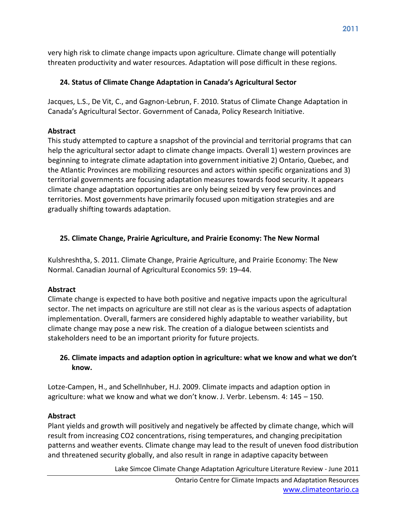very high risk to climate change impacts upon agriculture. Climate change will potentially threaten productivity and water resources. Adaptation will pose difficult in these regions.

## **24. Status of Climate Change Adaptation in Canada's Agricultural Sector**

Jacques, L.S., De Vit, C., and Gagnon-Lebrun, F. 2010. Status of Climate Change Adaptation in Canada's Agricultural Sector. Government of Canada, Policy Research Initiative.

## **Abstract**

This study attempted to capture a snapshot of the provincial and territorial programs that can help the agricultural sector adapt to climate change impacts. Overall 1) western provinces are beginning to integrate climate adaptation into government initiative 2) Ontario, Quebec, and the Atlantic Provinces are mobilizing resources and actors within specific organizations and 3) territorial governments are focusing adaptation measures towards food security. It appears climate change adaptation opportunities are only being seized by very few provinces and territories. Most governments have primarily focused upon mitigation strategies and are gradually shifting towards adaptation.

# **25. Climate Change, Prairie Agriculture, and Prairie Economy: The New Normal**

Kulshreshtha, S. 2011. Climate Change, Prairie Agriculture, and Prairie Economy: The New Normal. Canadian Journal of Agricultural Economics 59: 19–44.

# **Abstract**

Climate change is expected to have both positive and negative impacts upon the agricultural sector. The net impacts on agriculture are still not clear as is the various aspects of adaptation implementation. Overall, farmers are considered highly adaptable to weather variability, but climate change may pose a new risk. The creation of a dialogue between scientists and stakeholders need to be an important priority for future projects.

## **26. Climate impacts and adaption option in agriculture: what we know and what we don't know.**

Lotze-Campen, H., and Schellnhuber, H.J. 2009. Climate impacts and adaption option in agriculture: what we know and what we don't know. J. Verbr. Lebensm. 4: 145 – 150.

# **Abstract**

Plant yields and growth will positively and negatively be affected by climate change, which will result from increasing CO2 concentrations, rising temperatures, and changing precipitation patterns and weather events. Climate change may lead to the result of uneven food distribution and threatened security globally, and also result in range in adaptive capacity between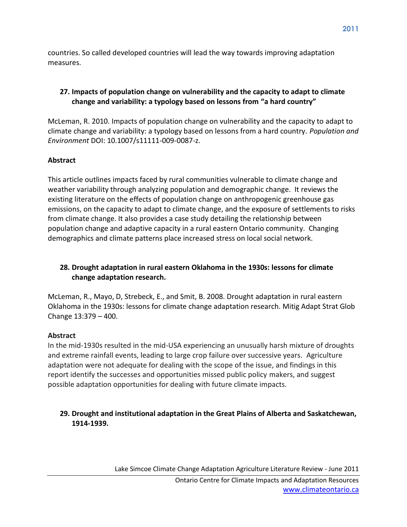countries. So called developed countries will lead the way towards improving adaptation measures.

## **27. Impacts of population change on vulnerability and the capacity to adapt to climate change and variability: a typology based on lessons from "a hard country"**

McLeman, R. 2010. Impacts of population change on vulnerability and the capacity to adapt to climate change and variability: a typology based on lessons from a hard country. *Population and Environment* DOI: 10.1007/s11111-009-0087-z.

## **Abstract**

This article outlines impacts faced by rural communities vulnerable to climate change and weather variability through analyzing population and demographic change. It reviews the existing literature on the effects of population change on anthropogenic greenhouse gas emissions, on the capacity to adapt to climate change, and the exposure of settlements to risks from climate change. It also provides a case study detailing the relationship between population change and adaptive capacity in a rural eastern Ontario community. Changing demographics and climate patterns place increased stress on local social network.

## **28. Drought adaptation in rural eastern Oklahoma in the 1930s: lessons for climate change adaptation research.**

McLeman, R., Mayo, D, Strebeck, E., and Smit, B. 2008. Drought adaptation in rural eastern Oklahoma in the 1930s: lessons for climate change adaptation research. Mitig Adapt Strat Glob Change 13:379 – 400.

#### **Abstract**

In the mid-1930s resulted in the mid-USA experiencing an unusually harsh mixture of droughts and extreme rainfall events, leading to large crop failure over successive years. Agriculture adaptation were not adequate for dealing with the scope of the issue, and findings in this report identify the successes and opportunities missed public policy makers, and suggest possible adaptation opportunities for dealing with future climate impacts.

## **29. Drought and institutional adaptation in the Great Plains of Alberta and Saskatchewan, 1914-1939.**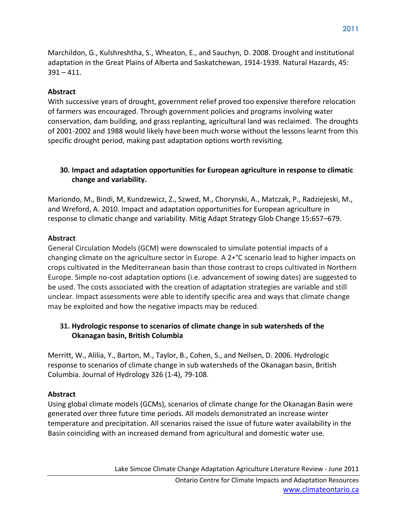Marchildon, G., Kulshreshtha, S., Wheaton, E., and Sauchyn, D. 2008. Drought and institutional adaptation in the Great Plains of Alberta and Saskatchewan, 1914-1939. Natural Hazards, 45:  $391 - 411$ .

## **Abstract**

With successive years of drought, government relief proved too expensive therefore relocation of farmers was encouraged. Through government policies and programs involving water conservation, dam building, and grass replanting, agricultural land was reclaimed. The droughts of 2001-2002 and 1988 would likely have been much worse without the lessons learnt from this specific drought period, making past adaptation options worth revisiting.

## **30. Impact and adaptation opportunities for European agriculture in response to climatic change and variability.**

Mariondo, M., Bindi, M, Kundzewicz, Z., Szwed, M., Chorynski, A., Matczak, P., Radziejeski, M., and Wreford, A. 2010. Impact and adaptation opportunities for European agriculture in response to climatic change and variability. Mitig Adapt Strategy Glob Change 15:657–679.

## **Abstract**

General Circulation Models (GCM) were downscaled to simulate potential impacts of a changing climate on the agriculture sector in Europe. A 2+°C scenario lead to higher impacts on crops cultivated in the Mediterranean basin than those contrast to crops cultivated in Northern Europe. Simple no-cost adaptation options (i.e. advancement of sowing dates) are suggested to be used. The costs associated with the creation of adaptation strategies are variable and still unclear. Impact assessments were able to identify specific area and ways that climate change may be exploited and how the negative impacts may be reduced.

## **31. Hydrologic response to scenarios of climate change in sub watersheds of the Okanagan basin, British Columbia**

Merritt, W., Alilia, Y., Barton, M., Taylor, B., Cohen, S., and Neilsen, D. 2006. Hydrologic response to scenarios of climate change in sub watersheds of the Okanagan basin, British Columbia. Journal of Hydrology 326 (1-4), 79-108.

## **Abstract**

Using global climate models (GCMs), scenarios of climate change for the Okanagan Basin were generated over three future time periods. All models demonstrated an increase winter temperature and precipitation. All scenarios raised the issue of future water availability in the Basin coinciding with an increased demand from agricultural and domestic water use.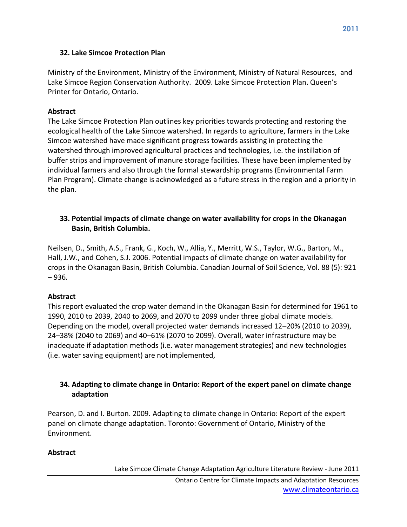## **32. Lake Simcoe Protection Plan**

Ministry of the Environment, Ministry of the Environment, Ministry of Natural Resources, and Lake Simcoe Region Conservation Authority. 2009. Lake Simcoe Protection Plan. Queen's Printer for Ontario, Ontario.

## **Abstract**

The Lake Simcoe Protection Plan outlines key priorities towards protecting and restoring the ecological health of the Lake Simcoe watershed. In regards to agriculture, farmers in the Lake Simcoe watershed have made significant progress towards assisting in protecting the watershed through improved agricultural practices and technologies, i.e. the instillation of buffer strips and improvement of manure storage facilities. These have been implemented by individual farmers and also through the formal stewardship programs (Environmental Farm Plan Program). Climate change is acknowledged as a future stress in the region and a priority in the plan.

## **33. Potential impacts of climate change on water availability for crops in the Okanagan Basin, British Columbia.**

Neilsen, D., Smith, A.S., Frank, G., Koch, W., Allia, Y., Merritt, W.S., Taylor, W.G., Barton, M., Hall, J.W., and Cohen, S.J. 2006. Potential impacts of climate change on water availability for crops in the Okanagan Basin, British Columbia. Canadian Journal of Soil Science, Vol. 88 (5): 921 – 936.

#### **Abstract**

This report evaluated the crop water demand in the Okanagan Basin for determined for 1961 to 1990, 2010 to 2039, 2040 to 2069, and 2070 to 2099 under three global climate models. Depending on the model, overall projected water demands increased 12–20% (2010 to 2039), 24–38% (2040 to 2069) and 40–61% (2070 to 2099). Overall, water infrastructure may be inadequate if adaptation methods (i.e. water management strategies) and new technologies (i.e. water saving equipment) are not implemented,

## **34. Adapting to climate change in Ontario: Report of the expert panel on climate change adaptation**

Pearson, D. and I. Burton. 2009. Adapting to climate change in Ontario: Report of the expert panel on climate change adaptation. Toronto: Government of Ontario, Ministry of the Environment.

#### **Abstract**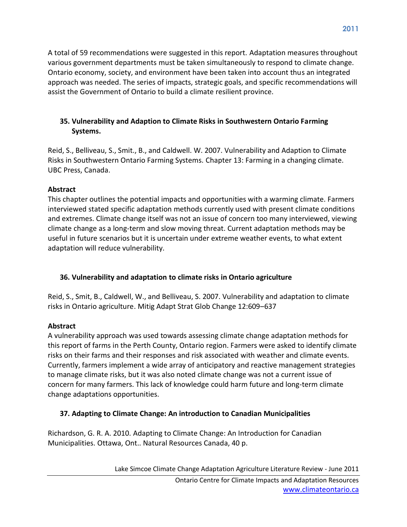A total of 59 recommendations were suggested in this report. Adaptation measures throughout various government departments must be taken simultaneously to respond to climate change. Ontario economy, society, and environment have been taken into account thus an integrated approach was needed. The series of impacts, strategic goals, and specific recommendations will assist the Government of Ontario to build a climate resilient province.

## **35. Vulnerability and Adaption to Climate Risks in Southwestern Ontario Farming Systems.**

Reid, S., Belliveau, S., Smit., B., and Caldwell. W. 2007. Vulnerability and Adaption to Climate Risks in Southwestern Ontario Farming Systems. Chapter 13: Farming in a changing climate. UBC Press, Canada.

## **Abstract**

This chapter outlines the potential impacts and opportunities with a warming climate. Farmers interviewed stated specific adaptation methods currently used with present climate conditions and extremes. Climate change itself was not an issue of concern too many interviewed, viewing climate change as a long-term and slow moving threat. Current adaptation methods may be useful in future scenarios but it is uncertain under extreme weather events, to what extent adaptation will reduce vulnerability.

# **36. Vulnerability and adaptation to climate risks in Ontario agriculture**

Reid, S., Smit, B., Caldwell, W., and Belliveau, S. 2007. Vulnerability and adaptation to climate risks in Ontario agriculture. Mitig Adapt Strat Glob Change 12:609–637

# **Abstract**

A vulnerability approach was used towards assessing climate change adaptation methods for this report of farms in the Perth County, Ontario region. Farmers were asked to identify climate risks on their farms and their responses and risk associated with weather and climate events. Currently, farmers implement a wide array of anticipatory and reactive management strategies to manage climate risks, but it was also noted climate change was not a current issue of concern for many farmers. This lack of knowledge could harm future and long-term climate change adaptations opportunities.

# **37. Adapting to Climate Change: An introduction to Canadian Municipalities**

Richardson, G. R. A. 2010. Adapting to Climate Change: An Introduction for Canadian Municipalities. Ottawa, Ont.. Natural Resources Canada, 40 p.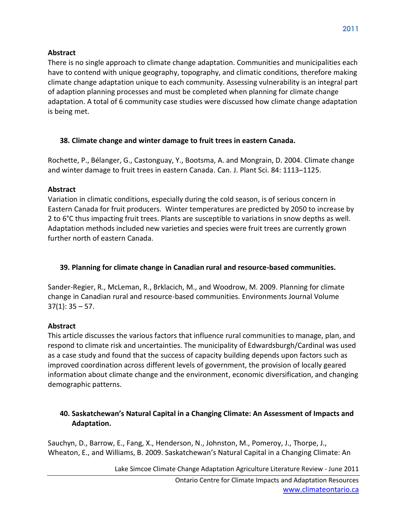### **Abstract**

There is no single approach to climate change adaptation. Communities and municipalities each have to contend with unique geography, topography, and climatic conditions, therefore making climate change adaptation unique to each community. Assessing vulnerability is an integral part of adaption planning processes and must be completed when planning for climate change adaptation. A total of 6 community case studies were discussed how climate change adaptation is being met.

## **38. Climate change and winter damage to fruit trees in eastern Canada.**

Rochette, P., Bélanger, G., Castonguay, Y., Bootsma, A. and Mongrain, D. 2004. Climate change and winter damage to fruit trees in eastern Canada. Can. J. Plant Sci. 84: 1113–1125.

#### **Abstract**

Variation in climatic conditions, especially during the cold season, is of serious concern in Eastern Canada for fruit producers. Winter temperatures are predicted by 2050 to increase by 2 to 6°C thus impacting fruit trees. Plants are susceptible to variations in snow depths as well. Adaptation methods included new varieties and species were fruit trees are currently grown further north of eastern Canada.

## **39. Planning for climate change in Canadian rural and resource-based communities.**

Sander-Regier, R., McLeman, R., Brklacich, M., and Woodrow, M. 2009. Planning for climate change in Canadian rural and resource-based communities. Environments Journal Volume  $37(1): 35 - 57.$ 

## **Abstract**

This article discusses the various factors that influence rural communities to manage, plan, and respond to climate risk and uncertainties. The municipality of Edwardsburgh/Cardinal was used as a case study and found that the success of capacity building depends upon factors such as improved coordination across different levels of government, the provision of locally geared information about climate change and the environment, economic diversification, and changing demographic patterns.

## **40. Saskatchewan's Natural Capital in a Changing Climate: An Assessment of Impacts and Adaptation.**

Sauchyn, D., Barrow, E., Fang, X., Henderson, N., Johnston, M., Pomeroy, J., Thorpe, J., Wheaton, E., and Williams, B. 2009. Saskatchewan's Natural Capital in a Changing Climate: An

Lake Simcoe Climate Change Adaptation Agriculture Literature Review - June 2011

Ontario Centre for Climate Impacts and Adaptation Resources

www.climateontario.ca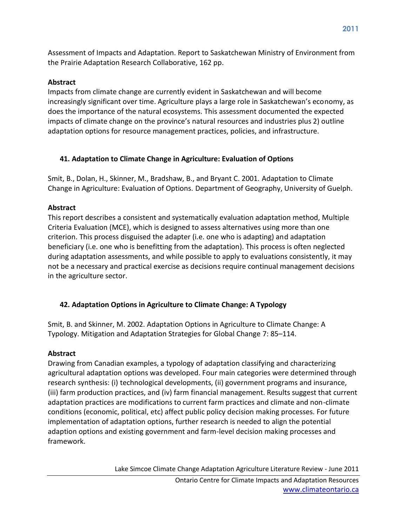Assessment of Impacts and Adaptation. Report to Saskatchewan Ministry of Environment from the Prairie Adaptation Research Collaborative, 162 pp.

## **Abstract**

Impacts from climate change are currently evident in Saskatchewan and will become increasingly significant over time. Agriculture plays a large role in Saskatchewan's economy, as does the importance of the natural ecosystems. This assessment documented the expected impacts of climate change on the province's natural resources and industries plus 2) outline adaptation options for resource management practices, policies, and infrastructure.

# **41. Adaptation to Climate Change in Agriculture: Evaluation of Options**

Smit, B., Dolan, H., Skinner, M., Bradshaw, B., and Bryant C. 2001. Adaptation to Climate Change in Agriculture: Evaluation of Options. Department of Geography, University of Guelph.

# **Abstract**

This report describes a consistent and systematically evaluation adaptation method, Multiple Criteria Evaluation (MCE), which is designed to assess alternatives using more than one criterion. This process disguised the adapter (i.e. one who is adapting) and adaptation beneficiary (i.e. one who is benefitting from the adaptation). This process is often neglected during adaptation assessments, and while possible to apply to evaluations consistently, it may not be a necessary and practical exercise as decisions require continual management decisions in the agriculture sector.

# **42. Adaptation Options in Agriculture to Climate Change: A Typology**

Smit, B. and Skinner, M. 2002. Adaptation Options in Agriculture to Climate Change: A Typology. Mitigation and Adaptation Strategies for Global Change 7: 85–114.

# **Abstract**

Drawing from Canadian examples, a typology of adaptation classifying and characterizing agricultural adaptation options was developed. Four main categories were determined through research synthesis: (i) technological developments, (ii) government programs and insurance, (iii) farm production practices, and (iv) farm financial management. Results suggest that current adaptation practices are modifications to current farm practices and climate and non-climate conditions (economic, political, etc) affect public policy decision making processes. For future implementation of adaptation options, further research is needed to align the potential adaption options and existing government and farm-level decision making processes and framework.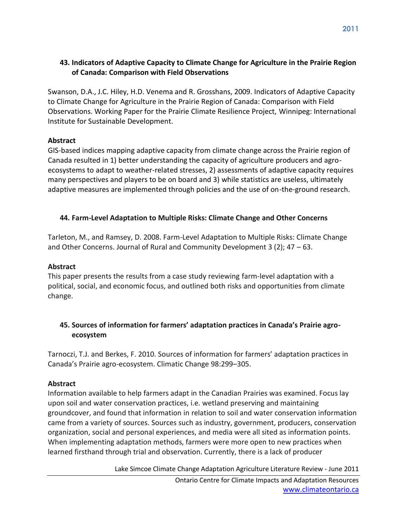### **43. Indicators of Adaptive Capacity to Climate Change for Agriculture in the Prairie Region of Canada: Comparison with Field Observations**

Swanson, D.A., J.C. Hiley, H.D. Venema and R. Grosshans, 2009. Indicators of Adaptive Capacity to Climate Change for Agriculture in the Prairie Region of Canada: Comparison with Field Observations. Working Paper for the Prairie Climate Resilience Project, Winnipeg: International Institute for Sustainable Development.

## **Abstract**

GIS-based indices mapping adaptive capacity from climate change across the Prairie region of Canada resulted in 1) better understanding the capacity of agriculture producers and agroecosystems to adapt to weather-related stresses, 2) assessments of adaptive capacity requires many perspectives and players to be on board and 3) while statistics are useless, ultimately adaptive measures are implemented through policies and the use of on-the-ground research.

## **44. Farm-Level Adaptation to Multiple Risks: Climate Change and Other Concerns**

Tarleton, M., and Ramsey, D. 2008. Farm-Level Adaptation to Multiple Risks: Climate Change and Other Concerns. Journal of Rural and Community Development 3 (2); 47 – 63.

### **Abstract**

This paper presents the results from a case study reviewing farm-level adaptation with a political, social, and economic focus, and outlined both risks and opportunities from climate change.

## **45. Sources of information for farmers' adaptation practices in Canada's Prairie agroecosystem**

Tarnoczi, T.J. and Berkes, F. 2010. Sources of information for farmers' adaptation practices in Canada's Prairie agro-ecosystem. Climatic Change 98:299–305.

## **Abstract**

Information available to help farmers adapt in the Canadian Prairies was examined. Focus lay upon soil and water conservation practices, i.e. wetland preserving and maintaining groundcover, and found that information in relation to soil and water conservation information came from a variety of sources. Sources such as industry, government, producers, conservation organization, social and personal experiences, and media were all sited as information points. When implementing adaptation methods, farmers were more open to new practices when learned firsthand through trial and observation. Currently, there is a lack of producer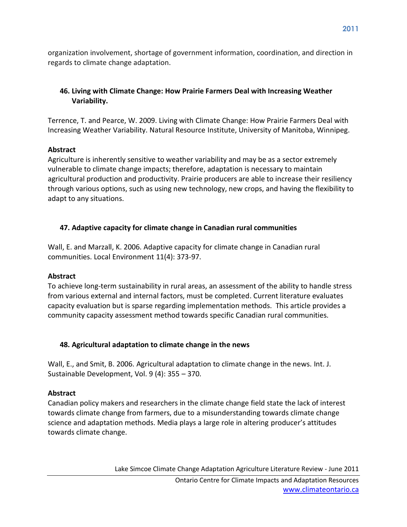organization involvement, shortage of government information, coordination, and direction in regards to climate change adaptation.

## **46. Living with Climate Change: How Prairie Farmers Deal with Increasing Weather Variability.**

Terrence, T. and Pearce, W. 2009. Living with Climate Change: How Prairie Farmers Deal with Increasing Weather Variability. Natural Resource Institute, University of Manitoba, Winnipeg.

## **Abstract**

Agriculture is inherently sensitive to weather variability and may be as a sector extremely vulnerable to climate change impacts; therefore, adaptation is necessary to maintain agricultural production and productivity. Prairie producers are able to increase their resiliency through various options, such as using new technology, new crops, and having the flexibility to adapt to any situations.

## **47. Adaptive capacity for climate change in Canadian rural communities**

Wall, E. and Marzall, K. 2006. Adaptive capacity for climate change in Canadian rural communities. Local Environment 11(4): 373-97.

#### **Abstract**

To achieve long-term sustainability in rural areas, an assessment of the ability to handle stress from various external and internal factors, must be completed. Current literature evaluates capacity evaluation but is sparse regarding implementation methods. This article provides a community capacity assessment method towards specific Canadian rural communities.

## **48. Agricultural adaptation to climate change in the news**

Wall, E., and Smit, B. 2006. Agricultural adaptation to climate change in the news. Int. J. Sustainable Development, Vol. 9 (4): 355 – 370.

## **Abstract**

Canadian policy makers and researchers in the climate change field state the lack of interest towards climate change from farmers, due to a misunderstanding towards climate change science and adaptation methods. Media plays a large role in altering producer's attitudes towards climate change.

Ontario Centre for Climate Impacts and Adaptation Resources

www.climateontario.ca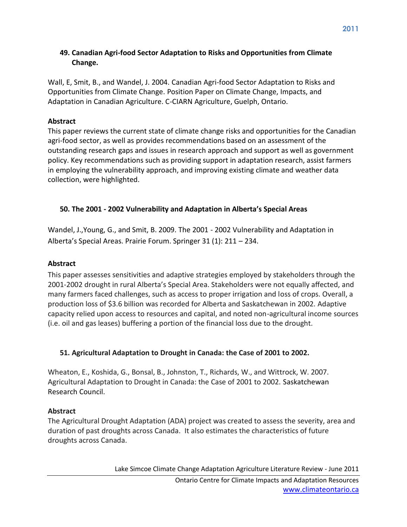## **49. Canadian Agri-food Sector Adaptation to Risks and Opportunities from Climate Change.**

Wall, E, Smit, B., and Wandel, J. 2004. Canadian Agri-food Sector Adaptation to Risks and Opportunities from Climate Change. Position Paper on Climate Change, Impacts, and Adaptation in Canadian Agriculture. C-CIARN Agriculture, Guelph, Ontario.

## **Abstract**

This paper reviews the current state of climate change risks and opportunities for the Canadian agri-food sector, as well as provides recommendations based on an assessment of the outstanding research gaps and issues in research approach and support as well as government policy. Key recommendations such as providing support in adaptation research, assist farmers in employing the vulnerability approach, and improving existing climate and weather data collection, were highlighted.

## **50. The 2001 - 2002 Vulnerability and Adaptation in Alberta's Special Areas**

Wandel, J.,Young, G., and Smit, B. 2009. The 2001 - 2002 Vulnerability and Adaptation in Alberta's Special Areas. Prairie Forum. Springer 31 (1): 211 – 234.

## **Abstract**

This paper assesses sensitivities and adaptive strategies employed by stakeholders through the 2001-2002 drought in rural Alberta's Special Area. Stakeholders were not equally affected, and many farmers faced challenges, such as access to proper irrigation and loss of crops. Overall, a production loss of \$3.6 billion was recorded for Alberta and Saskatchewan in 2002. Adaptive capacity relied upon access to resources and capital, and noted non-agricultural income sources (i.e. oil and gas leases) buffering a portion of the financial loss due to the drought.

## **51. Agricultural Adaptation to Drought in Canada: the Case of 2001 to 2002.**

Wheaton, E., Koshida, G., Bonsal, B., Johnston, T., Richards, W., and Wittrock, W. 2007. Agricultural Adaptation to Drought in Canada: the Case of 2001 to 2002. Saskatchewan Research Council.

## **Abstract**

The Agricultural Drought Adaptation (ADA) project was created to assess the severity, area and duration of past droughts across Canada. It also estimates the characteristics of future droughts across Canada.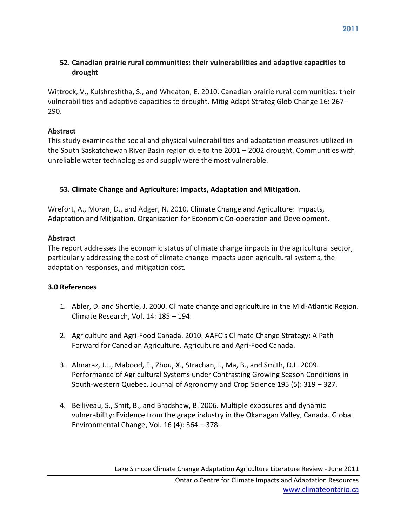## **52. Canadian prairie rural communities: their vulnerabilities and adaptive capacities to drought**

Wittrock, V., Kulshreshtha, S., and Wheaton, E. 2010. Canadian prairie rural communities: their vulnerabilities and adaptive capacities to drought. Mitig Adapt Strateg Glob Change 16: 267– 290.

## **Abstract**

This study examines the social and physical vulnerabilities and adaptation measures utilized in the South Saskatchewan River Basin region due to the 2001 – 2002 drought. Communities with unreliable water technologies and supply were the most vulnerable.

## **53. Climate Change and Agriculture: Impacts, Adaptation and Mitigation.**

Wrefort, A., Moran, D., and Adger, N. 2010. Climate Change and Agriculture: Impacts, Adaptation and Mitigation. Organization for Economic Co-operation and Development.

## **Abstract**

The report addresses the economic status of climate change impacts in the agricultural sector, particularly addressing the cost of climate change impacts upon agricultural systems, the adaptation responses, and mitigation cost.

# **3.0 References**

- 1. Abler, D. and Shortle, J. 2000. Climate change and agriculture in the Mid-Atlantic Region. Climate Research, Vol. 14: 185 – 194.
- 2. Agriculture and Agri-Food Canada. 2010. AAFC's Climate Change Strategy: A Path Forward for Canadian Agriculture. Agriculture and Agri-Food Canada.
- 3. Almaraz, J.J., Mabood, F., Zhou, X., Strachan, I., Ma, B., and Smith, D.L. 2009. Performance of Agricultural Systems under Contrasting Growing Season Conditions in South-western Quebec. Journal of Agronomy and Crop Science 195 (5): 319 – 327.
- 4. Belliveau, S., Smit, B., and Bradshaw, B. 2006. Multiple exposures and dynamic vulnerability: Evidence from the grape industry in the Okanagan Valley, Canada. Global Environmental Change, Vol. 16 (4): 364 – 378.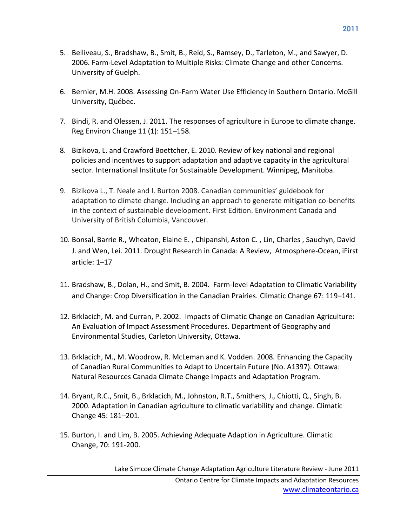- 5. Belliveau, S., Bradshaw, B., Smit, B., Reid, S., Ramsey, D., Tarleton, M., and Sawyer, D. 2006. Farm-Level Adaptation to Multiple Risks: Climate Change and other Concerns. University of Guelph.
- 6. Bernier, M.H. 2008. Assessing On-Farm Water Use Efficiency in Southern Ontario. McGill University, Québec.
- 7. Bindi, R. and Olessen, J. 2011. The responses of agriculture in Europe to climate change. Reg Environ Change 11 (1): 151–158.
- 8. Bizikova, L. and Crawford Boettcher, E. 2010. Review of key national and regional policies and incentives to support adaptation and adaptive capacity in the agricultural sector. International Institute for Sustainable Development. Winnipeg, Manitoba.
- 9. Bizikova L., T. Neale and I. Burton 2008. Canadian communities' guidebook for adaptation to climate change. Including an approach to generate mitigation co-benefits in the context of sustainable development. First Edition. Environment Canada and University of British Columbia, Vancouver.
- 10. Bonsal, Barrie R., Wheaton, Elaine E. , Chipanshi, Aston C. , Lin, Charles , Sauchyn, David J. and Wen, Lei. 2011. Drought Research in Canada: A Review, Atmosphere-Ocean, iFirst article: 1–17
- 11. Bradshaw, B., Dolan, H., and Smit, B. 2004. Farm-level Adaptation to Climatic Variability and Change: Crop Diversification in the Canadian Prairies. Climatic Change 67: 119–141.
- 12. Brklacich, M. and Curran, P. 2002. Impacts of Climatic Change on Canadian Agriculture: An Evaluation of Impact Assessment Procedures. Department of Geography and Environmental Studies, Carleton University, Ottawa.
- 13. Brklacich, M., M. Woodrow, R. McLeman and K. Vodden. 2008. Enhancing the Capacity of Canadian Rural Communities to Adapt to Uncertain Future (No. A1397). Ottawa: Natural Resources Canada Climate Change Impacts and Adaptation Program.
- 14. Bryant, R.C., Smit, B., Brklacich, M., Johnston, R.T., Smithers, J., Chiotti, Q., Singh, B. 2000. Adaptation in Canadian agriculture to climatic variability and change. Climatic Change 45: 181–201.
- 15. Burton, I. and Lim, B. 2005. Achieving Adequate Adaption in Agriculture. Climatic Change, 70: 191-200.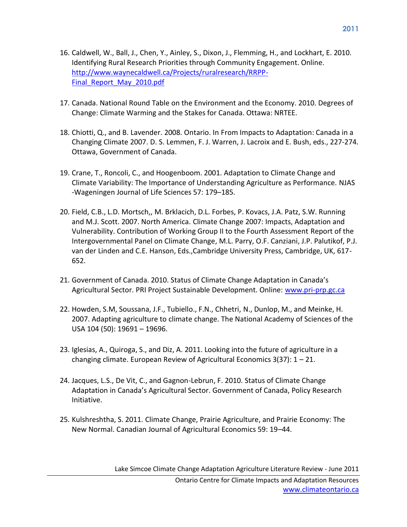- 16. Caldwell, W., Ball, J., Chen, Y., Ainley, S., Dixon, J., Flemming, H., and Lockhart, E. 2010. Identifying Rural Research Priorities through Community Engagement. Online. [http://www.waynecaldwell.ca/Projects/ruralresearch/RRPP-](http://www.waynecaldwell.ca/Projects/ruralresearch/RRPP-Final_Report_May_2010.pdf)[Final\\_Report\\_May\\_2010.pdf](http://www.waynecaldwell.ca/Projects/ruralresearch/RRPP-Final_Report_May_2010.pdf)
- 17. Canada. National Round Table on the Environment and the Economy. 2010. Degrees of Change: Climate Warming and the Stakes for Canada. Ottawa: NRTEE.
- 18. Chiotti, Q., and B. Lavender. 2008. Ontario. In From Impacts to Adaptation: Canada in a Changing Climate 2007. D. S. Lemmen, F. J. Warren, J. Lacroix and E. Bush, eds., 227-274. Ottawa, Government of Canada.
- 19. Crane, T., Roncoli, C., and Hoogenboom. 2001. Adaptation to Climate Change and Climate Variability: The Importance of Understanding Agriculture as Performance. NJAS -Wageningen Journal of Life Sciences 57: 179–185.
- 20. Field, C.B., L.D. Mortsch,, M. Brklacich, D.L. Forbes, P. Kovacs, J.A. Patz, S.W. Running and M.J. Scott. 2007. North America. Climate Change 2007: Impacts, Adaptation and Vulnerability. Contribution of Working Group II to the Fourth Assessment Report of the Intergovernmental Panel on Climate Change, M.L. Parry, O.F. Canziani, J.P. Palutikof, P.J. van der Linden and C.E. Hanson, Eds.,Cambridge University Press, Cambridge, UK, 617- 652.
- 21. Government of Canada. 2010. Status of Climate Change Adaptation in Canada's Agricultural Sector. PRI Project Sustainable Development. Online: [www.pri-prp.gc.ca](http://www.pri-prp.gc.ca/)
- 22. Howden, S.M, Soussana, J.F., Tubiello., F.N., Chhetri, N., Dunlop, M., and Meinke, H. 2007. Adapting agriculture to climate change. The National Academy of Sciences of the USA 104 (50): 19691 – 19696.
- 23. Iglesias, A., Quiroga, S., and Diz, A. 2011. Looking into the future of agriculture in a changing climate. European Review of Agricultural Economics 3(37): 1 – 21.
- 24. Jacques, L.S., De Vit, C., and Gagnon-Lebrun, F. 2010. Status of Climate Change Adaptation in Canada's Agricultural Sector. Government of Canada, Policy Research Initiative.
- 25. Kulshreshtha, S. 2011. Climate Change, Prairie Agriculture, and Prairie Economy: The New Normal. Canadian Journal of Agricultural Economics 59: 19–44.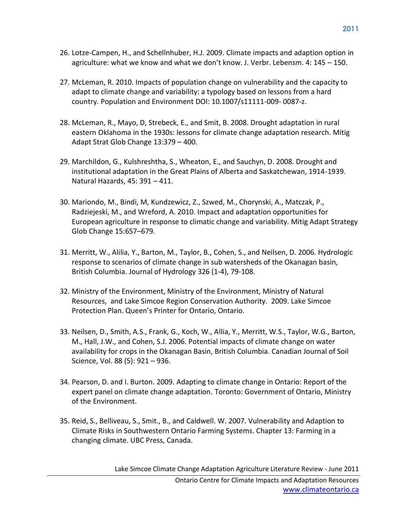- 26. Lotze-Campen, H., and Schellnhuber, H.J. 2009. Climate impacts and adaption option in agriculture: what we know and what we don't know. J. Verbr. Lebensm. 4: 145 – 150.
- 27. McLeman, R. 2010. Impacts of population change on vulnerability and the capacity to adapt to climate change and variability: a typology based on lessons from a hard country. Population and Environment DOI: 10.1007/s11111-009- 0087-z.
- 28. McLeman, R., Mayo, D, Strebeck, E., and Smit, B. 2008. Drought adaptation in rural eastern Oklahoma in the 1930s: lessons for climate change adaptation research. Mitig Adapt Strat Glob Change 13:379 – 400.
- 29. Marchildon, G., Kulshreshtha, S., Wheaton, E., and Sauchyn, D. 2008. Drought and institutional adaptation in the Great Plains of Alberta and Saskatchewan, 1914-1939. Natural Hazards, 45: 391 – 411.
- 30. Mariondo, M., Bindi, M, Kundzewicz, Z., Szwed, M., Chorynski, A., Matczak, P., Radziejeski, M., and Wreford, A. 2010. Impact and adaptation opportunities for European agriculture in response to climatic change and variability. Mitig Adapt Strategy Glob Change 15:657–679.
- 31. Merritt, W., Alilia, Y., Barton, M., Taylor, B., Cohen, S., and Neilsen, D. 2006. Hydrologic response to scenarios of climate change in sub watersheds of the Okanagan basin, British Columbia. Journal of Hydrology 326 (1-4), 79-108.
- 32. Ministry of the Environment, Ministry of the Environment, Ministry of Natural Resources, and Lake Simcoe Region Conservation Authority. 2009. Lake Simcoe Protection Plan. Queen's Printer for Ontario, Ontario.
- 33. Neilsen, D., Smith, A.S., Frank, G., Koch, W., Allia, Y., Merritt, W.S., Taylor, W.G., Barton, M., Hall, J.W., and Cohen, S.J. 2006. Potential impacts of climate change on water availability for crops in the Okanagan Basin, British Columbia. Canadian Journal of Soil Science, Vol. 88 (5): 921 – 936.
- 34. Pearson, D. and I. Burton. 2009. Adapting to climate change in Ontario: Report of the expert panel on climate change adaptation. Toronto: Government of Ontario, Ministry of the Environment.
- 35. Reid, S., Belliveau, S., Smit., B., and Caldwell. W. 2007. Vulnerability and Adaption to Climate Risks in Southwestern Ontario Farming Systems. Chapter 13: Farming in a changing climate. UBC Press, Canada.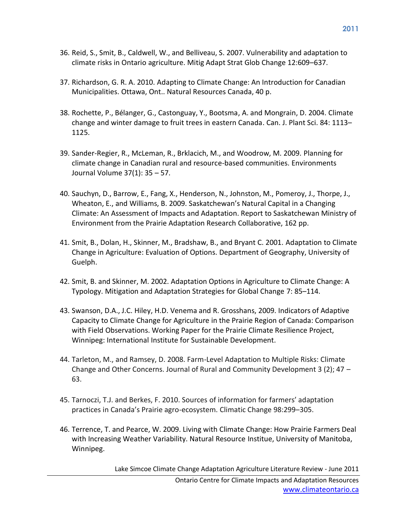- 36. Reid, S., Smit, B., Caldwell, W., and Belliveau, S. 2007. Vulnerability and adaptation to climate risks in Ontario agriculture. Mitig Adapt Strat Glob Change 12:609–637.
- 37. Richardson, G. R. A. 2010. Adapting to Climate Change: An Introduction for Canadian Municipalities. Ottawa, Ont.. Natural Resources Canada, 40 p.
- 38. Rochette, P., Bélanger, G., Castonguay, Y., Bootsma, A. and Mongrain, D. 2004. Climate change and winter damage to fruit trees in eastern Canada. Can. J. Plant Sci. 84: 1113– 1125.
- 39. Sander-Regier, R., McLeman, R., Brklacich, M., and Woodrow, M. 2009. Planning for climate change in Canadian rural and resource-based communities. Environments Journal Volume 37(1): 35 – 57.
- 40. Sauchyn, D., Barrow, E., Fang, X., Henderson, N., Johnston, M., Pomeroy, J., Thorpe, J., Wheaton, E., and Williams, B. 2009. Saskatchewan's Natural Capital in a Changing Climate: An Assessment of Impacts and Adaptation. Report to Saskatchewan Ministry of Environment from the Prairie Adaptation Research Collaborative, 162 pp.
- 41. Smit, B., Dolan, H., Skinner, M., Bradshaw, B., and Bryant C. 2001. Adaptation to Climate Change in Agriculture: Evaluation of Options. Department of Geography, University of Guelph.
- 42. Smit, B. and Skinner, M. 2002. Adaptation Options in Agriculture to Climate Change: A Typology. Mitigation and Adaptation Strategies for Global Change 7: 85–114.
- 43. Swanson, D.A., J.C. Hiley, H.D. Venema and R. Grosshans, 2009. Indicators of Adaptive Capacity to Climate Change for Agriculture in the Prairie Region of Canada: Comparison with Field Observations. Working Paper for the Prairie Climate Resilience Project, Winnipeg: International Institute for Sustainable Development.
- 44. Tarleton, M., and Ramsey, D. 2008. Farm-Level Adaptation to Multiple Risks: Climate Change and Other Concerns. Journal of Rural and Community Development 3 (2); 47 – 63.
- 45. Tarnoczi, T.J. and Berkes, F. 2010. Sources of information for farmers' adaptation practices in Canada's Prairie agro-ecosystem. Climatic Change 98:299–305.
- 46. Terrence, T. and Pearce, W. 2009. Living with Climate Change: How Prairie Farmers Deal with Increasing Weather Variability. Natural Resource Institue, University of Manitoba, Winnipeg.